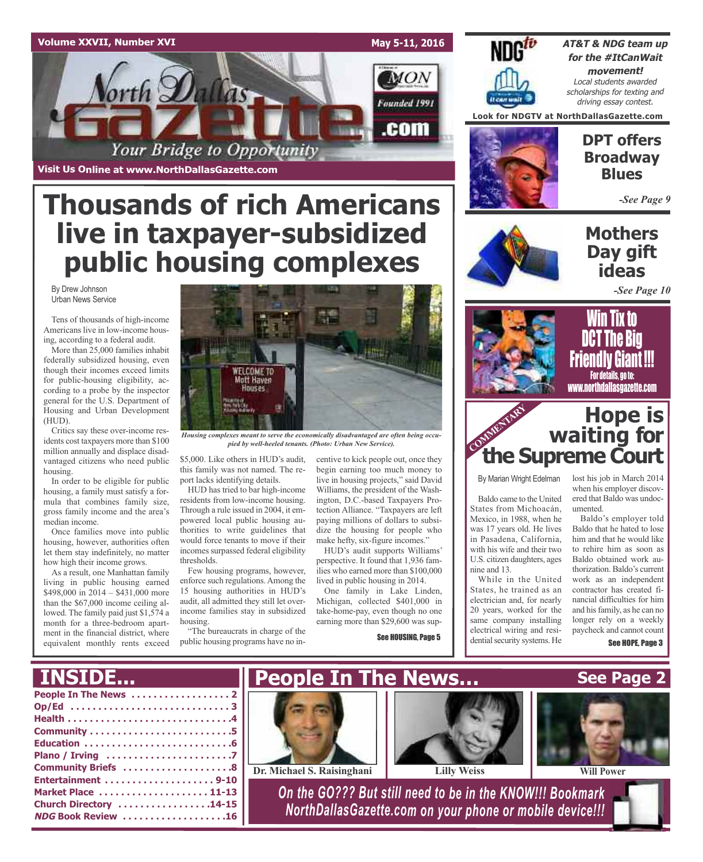### **Volume XXVII, Number XVI**

**May 5-11, 2016**

**MON** 

Founded 1991

.com



**AT&T & NDG team up for the #ItCanWait movement!** Local students awarded scholarships for texting and driving essay contest.

**Look for NDGTV at NorthDallasGazette.com**

**Visit Us Online at www.NorthDallasGazette.com**

orth  $\mathcal{D}$ al

# **Thousands of rich Americans live in taxpayer-subsidized public housing complexes**

Your Bridge to Opportunity

By Drew Johnson Urban News Service

Tens of thousands of high-income Americans live in low-income housing, according to a federal audit.

More than 25,000 families inhabit federally subsidized housing, even though their incomes exceed limits for public-housing eligibility, according to a probe by the inspector general for the U.S. Department of Housing and Urban Development (HUD).

Critics say these over-income residents cost taxpayers more than \$100 million annually and displace disadvantaged citizens who need public housing.

In order to be eligible for public housing, a family must satisfy a formula that combines family size, gross family income and the area's median income.

Once families move into public housing, however, authorities often let them stay indefinitely, no matter how high their income grows.

As a result, one Manhattan family living in public housing earned \$498,000 in 2014 – \$431,000 more than the \$67,000 income ceiling allowed. The family paid just \$1,574 a month for a three-bedroom apartment in the financial district, where equivalent monthly rents exceed



*Housing complexes meant to serve the economically disadvantaged are often being occupied by well-heeled tenants. (Photo: Urban New Service).*

\$5,000. Like others in HUD's audit, this family was not named. The report lacks identifying details.

HUD has tried to bar high-income residents from low-income housing. Through a rule issued in 2004, it empowered local public housing authorities to write guidelines that would force tenants to move if their incomes surpassed federal eligibility thresholds.

Few housing programs, however, enforce such regulations.Among the 15 housing authorities in HUD's audit, all admitted they still let overincome families stay in subsidized housing.

"The bureaucrats in charge of the public housing programs have no incentive to kick people out, once they begin earning too much money to live in housing projects," said David Williams, the president of the Washington, D.C.-based Taxpayers Protection Alliance. "Taxpayers are left paying millions of dollars to subsidize the housing for people who make hefty, six-figure incomes."

HUD's audit supports Williams' perspective. It found that 1,936 families who earned more than \$100,000 lived in public housing in 2014.

One family in Lake Linden, Michigan, collected \$401,000 in take-home-pay, even though no one earning more than \$29,600 was sup-

See HOUSING, Page 5



### **DPT offers Broadway Blues**

*-See Page 9*

### **Mothers Day gift ideas**

*-See Page 10*



Win Tix to DCT The Big Friendly Giant !!! For details, go to: www.northdallasgazette.com

### **Hope is waiting for the Supreme Court** COMMENTARY **COMMENT**

By Marian Wright Edelman

Baldo came to the United States from Michoacán, Mexico, in 1988, when he was 17 years old. He lives in Pasadena, California, with his wife and their two U.S. citizen daughters, ages nine and 13.

While in the United States, he trained as an electrician and, for nearly 20 years, worked for the same company installing electrical wiring and residential security systems. He

lost his job in March 2014 when his employer discovered that Baldo was undocumented.

Baldo's employer told Baldo that he hated to lose him and that he would like to rehire him as soon as Baldo obtained work authorization. Baldo's current work as an independent contractor has created financial difficulties for him and hisfamily, as he can no longer rely on a weekly paycheck and cannot count

See HOPE, Page 3

#### **People In The News . . . . . . . . . . . . . . . . . . 2 Op/Ed . . . . . . . . . . . . . . . . . . . . . . . . . . . . . 3 Health . . . . . . . . . . . . . . . . . . . . . . . . . . . . . .4 Community . . . . . . . . . . . . . . . . . . . . . . . . . .5 Education . . . . . . . . . . . . . . . . . . . . . . . . . . .6 Plano / Irving . . . . . . . . . . . . . . . . . . . . . . .7 Community Briefs . . . . . . . . . . . . . . . . . . . .8 Entertainment . . . . . . . . . . . . . . . . . . . . 9-10 Market Place . . . . . . . . . . . . . . . . . . . . 11-13 Church Directory . . . . . . . . . . . . . . . . .14-15 NDG Book Review . . . . . . . . . . . . . . . . . . .16** *On the GO??? But still need to be in the KNOW!!! Bookmark NorthDallasGazette.com on your phone or mobile device!!!* **See Page 2 People In The News… Dr. Michael S. Raisinghani Lilly Weiss Will Power**

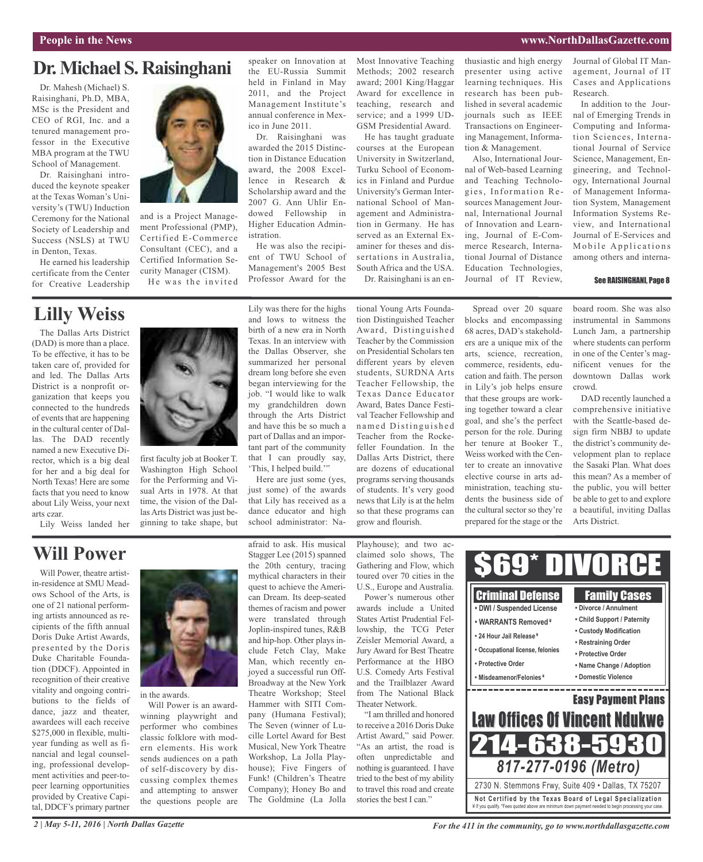#### **People in the News www.NorthDallasGazette.com**

### **Dr.Michael S. Raisinghani**

Dr. Mahesh (Michael) S. Raisinghani, Ph.D, MBA, MSc is the President and CEO of RGI, Inc. and a tenured management professor in the Executive MBA program at the TWU School of Management.

Dr. Raisinghani introduced the keynote speaker at the Texas Woman's University's (TWU) Induction Ceremony for the National Society of Leadership and Success (NSLS) at TWU in Denton, Texas.

He earned his leadership certificate from the Center for Creative Leadership



and is a Project Management Professional (PMP), Certified E-Commerce Consultant (CEC), and a Certified Information Security Manager (CISM). He was the invited

speaker on Innovation at the EU-Russia Summit held in Finland in May 2011, and the Project Management Institute's annual conference in Mexico in June 2011.

Dr. Raisinghani was awarded the 2015 Distinction in Distance Education award, the 2008 Excellence in Research & Scholarship award and the 2007 G. Ann Uhlir Endowed Fellowship in Higher Education Administration.

He was also the recipient of TWU School of Management's 2005 Best Professor Award for the

Most Innovative Teaching Methods; 2002 research award; 2001 King/Haggar Award for excellence in teaching, research and service; and a 1999 UD-GSM Presidential Award.

He has taught graduate courses at the European University in Switzerland, Turku School of Economics in Finland and Purdue University's German International School of Management and Administration in Germany. He has served as an External Examiner for theses and dissertations in Australia, South Africa and the USA. Dr. Raisinghani is an enthusiastic and high energy presenter using active learning techniques. His research has been published in several academic journals such as IEEE Transactions on Engineering Management, Information & Management.

Also, International Journal of Web-based Learning and Teaching Technologies, Information Resources Management Journal, International Journal of Innovation and Learning, Journal of E-Commerce Research, International Journal of Distance Education Technologies, Journal of IT Review,

Journal of Global IT Management, Journal of IT Cases and Applications Research.

In addition to the Journal of Emerging Trends in Computing and Information Sciences, International Journal of Service Science, Management, Engineering, and Technology, International Journal of Management Information System, Management Information Systems Review, and International Journal of E-Services and Mobile Applications among others and interna-

#### See RAISINGHANI, Page 8

### **Lilly Weiss**

The Dallas Arts District (DAD) is more than a place. To be effective, it has to be taken care of, provided for and led. The Dallas Arts District is a nonprofit organization that keeps you connected to the hundreds of events that are happening in the cultural center of Dallas. The DAD recently named a new Executive Director, which is a big deal for her and a big deal for North Texas! Here are some facts that you need to know about Lily Weiss, your next arts czar.

Lily Weiss landed her



first faculty job at Booker T. Washington High School for the Performing and Visual Arts in 1978. At that time, the vision of the Dallas Arts District was just beginning to take shape, but

Lily was there for the highs and lows to witness the birth of a new era in North Texas. In an interview with the Dallas Observer, she summarized her personal dream long before she even began interviewing for the job. "I would like to walk my grandchildren down through the Arts District and have this be so much a part of Dallas and an important part of the community that I can proudly say, 'This, I helped build."

Here are just some (yes, just some) of the awards that Lily has received as a dance educator and high school administrator: National Young Arts Foundation Distinguished Teacher Award, Distinguished Teacher by the Commission on Presidential Scholars ten different years by eleven students, SURDNA Arts Teacher Fellowship, the Texas Dance Educator Award, Bates Dance Festival Teacher Fellowship and named Distinguished Teacher from the Rockefeller Foundation. In the Dallas Arts District, there are dozens of educational programs serving thousands of students. It's very good news that Lily is at the helm so that these programs can grow and flourish.

Spread over 20 square blocks and encompassing 68 acres, DAD's stakeholders are a unique mix of the arts, science, recreation, commerce, residents, education and faith. The person in Lily's job helps ensure that these groups are working together toward a clear goal, and she's the perfect person for the role. During her tenure at Booker T., Weiss worked with the Center to create an innovative elective course in arts administration, teaching students the business side of the cultural sector so they're prepared for the stage or the board room. She was also instrumental in Sammons Lunch Jam, a partnership where students can perform in one of the Center's magnificent venues for the downtown Dallas work crowd.

DAD recently launched a comprehensive initiative with the Seattle-based design firm NBBJ to update the district's community development plan to replace the Sasaki Plan. What does this mean? As a member of the public, you will better be able to get to and explore a beautiful, inviting Dallas Arts District.

### **Will Power**

Will Power, theatre artistin-residence at SMU Meadows School of the Arts, is one of 21 national performing artists announced as recipients of the fifth annual Doris Duke Artist Awards, presented by the Doris Duke Charitable Foundation (DDCF). Appointed in recognition of their creative vitality and ongoing contributions to the fields of dance, jazz and theater, awardees will each receive \$275,000 in flexible, multiyear funding as well as financial and legal counseling, professional development activities and peer-topeer learning opportunities provided by Creative Capital, DDCF's primary partner



in the awards.

Will Power is an awardwinning playwright and performer who combines classic folklore with modern elements. His work sends audiences on a path of self-discovery by discussing complex themes and attempting to answer the questions people are

afraid to ask. His musical Stagger Lee (2015) spanned the 20th century, tracing mythical characters in their quest to achieve the American Dream. Its deep-seated themes of racism and power were translated through Joplin-inspired tunes, R&B and hip-hop. Other plays include Fetch Clay, Make Man, which recently enjoyed a successful run Off-Broadway at the New York Theatre Workshop; Steel Hammer with SITI Company (Humana Festival); The Seven (winner of Lucille Lortel Award for Best Musical, New York Theatre Workshop, La Jolla Playhouse); Five Fingers of Funk! (Children's Theatre Company); Honey Bo and The Goldmine (La Jolla

Playhouse); and two acclaimed solo shows, The Gathering and Flow, which toured over 70 cities in the U.S., Europe and Australia.

Power's numerous other awards include a United States Artist Prudential Fellowship, the TCG Peter Zeisler Memorial Award, a Jury Award for Best Theatre Performance at the HBO U.S. Comedy Arts Festival and the Trailblazer Award from The National Black Theater Network.

"I am thrilled and honored to receive a 2016 Doris Duke Artist Award," said Power. "As an artist, the road is often unpredictable and nothing is guaranteed. I have tried to the best of my ability to travel this road and create stories the best I can."

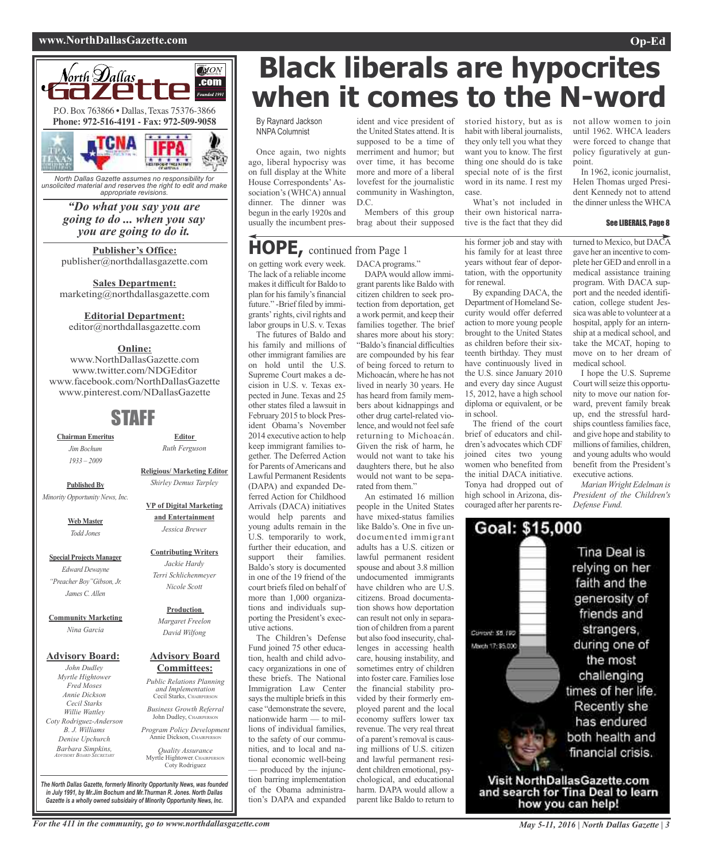#### **www.NorthDallasGazette.com Op-Ed**



*North Dallas Gazette assumes no responsibility for unsolicited material and reserves the right to edit and make appropriate revisions.*

*"Do what you say you are going to do ... when you say you are going to do it.*

**Publisher's Office:** publisher@northdallasgazette.com

**Sales Department:** marketing@northdallasgazette.com

#### **Editorial Department:**

editor@northdallasgazette.com

### **Online:**

www.NorthDallasGazette.com www.twitter.com/NDGEditor www.facebook.com/NorthDallasGazette www.pinterest.com/NDallasGazette

### STAFF

**Chairman Emeritus** *Jim Bochum 1933 – 2009*

**Published By**

**Editor** *Ruth Ferguson*

**Religious/ Marketing Editor** *Shirley Demus Tarpley*

**VP of Digital Marketing**

*Minority Opportunity News, Inc.*

**Web Master** *Todd Jones*

**Special Projects Manager** *Edward Dewayne "Preacher Boy"Gibson, Jr. James C. Allen*

**Community Marketing** *Nina Garcia*

#### **Advisory Board:**

*John Dudley Myrtle Hightower Fred Moses Annie Dickson Cecil Starks Willie Wattley Coty Rodriguez-Anderson B. J. Williams Denise Upchurch Barbara Simpkins, ADVISORY BOARD SECRETARY*

**Committees:** *Public Relations Planning and Implementation*

John Dudley, CHAIRPERSO

*Program Policy Development*

Coty Rodriguez

**Black liberals are hypocrites when it comes to the N-word**

### By Raynard Jackson NNPA Columnist

Once again, two nights ago, liberal hypocrisy was on full display at the White House Correspondents' Association's (WHCA) annual dinner. The dinner was begun in the early 1920s and usually the incumbent pres-

on getting work every week. The lack of a reliable income makes it difficult for Baldo to plan for his family's financial future." -Brief filed by immigrants' rights, civil rights and labor groups in U.S. v. Texas The futures of Baldo and his family and millions of other immigrant families are on hold until the U.S. Supreme Court makes a decision in U.S. v. Texas expected in June. Texas and 25 other states filed a lawsuit in February 2015 to block President Obama's November 2014 executive action to help keep immigrant families together. The Deferred Action for Parents of Americans and Lawful Permanent Residents (DAPA) and expanded Deferred Action for Childhood Arrivals (DACA) initiatives would help parents and young adults remain in the U.S. temporarily to work, further their education, and support their families. Baldo's story is documented in one of the 19 friend of the court briefs filed on behalf of more than 1,000 organizations and individuals supporting the President's execident and vice president of the United States attend. It is supposed to be a time of merriment and humor; but over time, it has become more and more of a liberal lovefest for the journalistic community in Washington, D.C.

Members of this group brag about their supposed

### DACA programs." **HOPE,** continued from Page <sup>1</sup>

DAPA would allow immigrant parents like Baldo with citizen children to seek protection from deportation, get a work permit, and keep their families together. The brief shares more about his story: "Baldo's financial difficulties are compounded by his fear of being forced to return to Michoacán, where he has not lived in nearly 30 years. He has heard from family members about kidnappings and other drug cartel-related violence, and would not feel safe returning to Michoacán. Given the risk of harm, he would not want to take his daughters there, but he also would not want to be separated from them."

An estimated 16 million people in the United States have mixed-status families like Baldo's. One in five undocumented immigrant adults has a U.S. citizen or lawful permanent resident spouse and about 3.8 million undocumented immigrants have children who are U.S. citizens. Broad documentation shows how deportation can result not only in separation of children from a parent but also food insecurity, challenges in accessing health care, housing instability, and sometimes entry of children into foster care. Families lose the financial stability provided by their formerly employed parent and the local economy suffers lower tax revenue. The very real threat of a parent's removal is causing millions of U.S. citizen and lawful permanent resident children emotional, psychological, and educational harm. DAPA would allow a parent like Baldo to return to

storied history, but as is habit with liberal journalists, they only tell you what they want you to know. The first thing one should do is take special note of is the first word in its name. I rest my case.

What's not included in their own historical narrative is the fact that they did

his former job and stay with his family for at least three years without fear of deportation, with the opportunity for renewal.

By expanding DACA, the Department of Homeland Security would offer deferred action to more young people brought to the United States as children before their sixteenth birthday. They must have continuously lived in the U.S. since January 2010 and every day since August 15, 2012, have a high school diploma or equivalent, or be in school.

The friend of the court brief of educators and children's advocates which CDF joined cites two young women who benefited from the initial DACA initiative. Tonya had dropped out of high school in Arizona, discouraged after her parents renot allow women to join until 1962. WHCA leaders were forced to change that policy figuratively at gunpoint.

In 1962, iconic journalist, Helen Thomas urged President Kennedy not to attend the dinner unless the WHCA

#### See LIBERALS, Page 8

turned to Mexico, but DACA gave her an incentive to complete her GED and enroll in a medical assistance training program. With DACA support and the needed identification, college student Jessica was able to volunteer at a hospital, apply for an internship at a medical school, and take the MCAT, hoping to move on to her dream of medical school.

I hope the U.S. Supreme Court will seize this opportunity to move our nation forward, prevent family break up, end the stressful hardships countless families face, and give hope and stability to millions of families, children, and young adults who would benefit from the President's executive actions.

*Marian Wright Edelman is President of the Children's Defense Fund.*



For the 411 in the community, go to www.northdallasgazette.com May 5-11, 2016 | North Dallas Gazette | 3

*The North Dallas Gazette, formerly Minority Opportunity News, was founded in July 1991, by Mr.Jim Bochum and Mr.Thurman R. Jones. North Dallas Gazette is a wholly owned subsidairy of Minority Opportunity News, Inc.*

**and Entertainment** *Jessica Brewer* **Contributing Writers** *Jackie Hardy*

utive actions.

The Children's Defense Fund joined 75 other education, health and child advocacy organizations in one of these briefs. The National Immigration Law Center says the multiple briefs in this case "demonstrate the severe, nationwide harm — to millions of individual families, to the safety of our communities, and to local and national economic well-being — produced by the injunction barring implementation of the Obama administration's DAPA and expanded

### *Terri Schlichenmeyer Nicole Scott*

**Production** *Margaret Freelon David Wilfong*

### **Advisory Board**

Cecil Starks, CHAIRPERSON *Business Growth Referral*

Annie Dickson, CHAIRPE

*Quality Assurance* Myrtle Hightower, CHAIRPERSO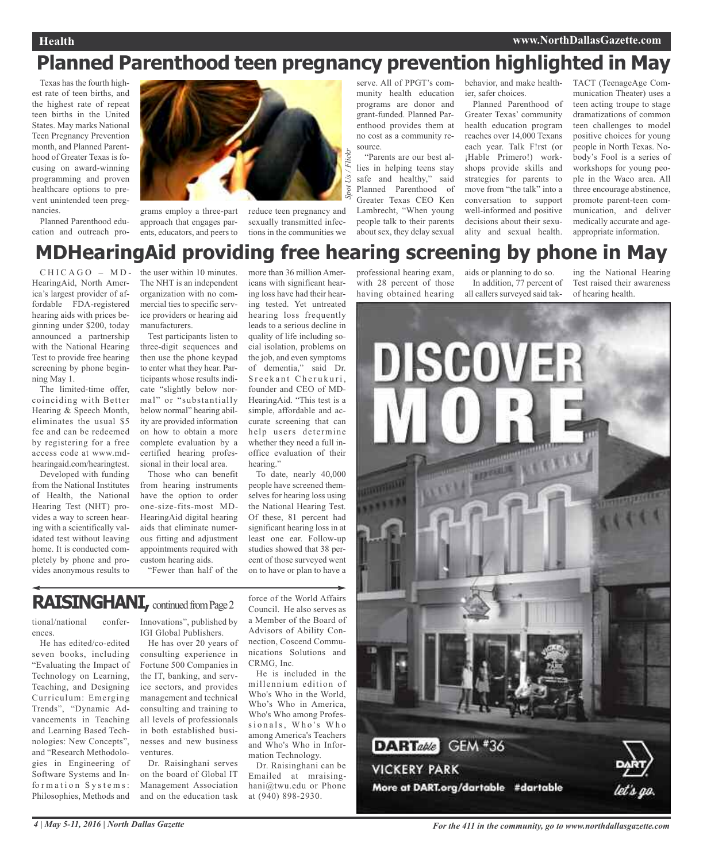### **Health www.NorthDallasGazette.com**

### **Planned Parenthood teen pregnancy prevention highlighted in May**

Texas has the fourth highest rate of teen births, and the highest rate of repeat teen births in the United States. May marks National Teen Pregnancy Prevention month, and Planned Parenthood of Greater Texas is focusing on award-winning programming and proven healthcare options to prevent unintended teen pregnancies.

Planned Parenthood education and outreach pro-



approach that engages parents, educators, and peers to

grams employ a three-part reduce teen pregnancy and sexually transmitted infections in the communities we

serve. All of PPGT's community health education programs are donor and grant-funded. Planned Parenthood provides them at no cost as a community resource.

"Parents are our best allies in helping teens stay safe and healthy," said Planned Parenthood of Greater Texas CEO Ken Lambrecht, "When young people talk to their parents about sex, they delay sexual

behavior, and make healthier, safer choices.

Planned Parenthood of Greater Texas' community health education program reaches over 14,000 Texans each year. Talk F!rst (or ¡Hable Primero!) workshops provide skills and strategies for parents to move from "the talk" into a conversation to support well-informed and positive decisions about their sexuality and sexual health.

TACT (TeenageAge Communication Theater) uses a teen acting troupe to stage dramatizations of common teen challenges to model positive choices for young people in North Texas. Nobody's Fool is a series of workshops for young people in the Waco area. All three encourage abstinence, promote parent-teen communication, and deliver medically accurate and ageappropriate information.

## **MDHearingAid providing free hearing screening by phone in May**

 $CHICAGO - MD -$ HearingAid, North America's largest provider of affordable FDA-registered hearing aids with prices beginning under \$200, today announced a partnership with the National Hearing Test to provide free hearing screening by phone beginning May 1.

The limited-time offer, coinciding with Better Hearing & Speech Month, eliminates the usual \$5 fee and can be redeemed by registering for a free access code at www.mdhearingaid.com/hearingtest.

Developed with funding from the National Institutes of Health, the National Hearing Test (NHT) provides a way to screen hearing with a scientifically validated test without leaving home. It is conducted completely by phone and provides anonymous results to

the user within 10 minutes. The NHT is an independent organization with no commercial ties to specific service providers or hearing aid manufacturers.

Test participants listen to three-digit sequences and then use the phone keypad to enter what they hear. Participants whose results indicate "slightly below normal" or "substantially below normal" hearing ability are provided information on how to obtain a more complete evaluation by a certified hearing professional in their local area.

Those who can benefit from hearing instruments have the option to order one-size-fits-most MD-HearingAid digital hearing aids that eliminate numerous fitting and adjustment appointments required with custom hearing aids.

"Fewer than half of the

more than 36 million Americans with significant hearing loss have had their hearing tested. Yet untreated hearing loss frequently leads to a serious decline in quality of life including social isolation, problems on the job, and even symptoms of dementia," said Dr. Sreekant Cherukuri, founder and CEO of MD-HearingAid. "This test is a simple, affordable and accurate screening that can help users determine

> office evaluation of their hearing." To date, nearly 40,000 people have screened themselves for hearing loss using the National Hearing Test. Of these, 81 percent had significant hearing loss in at least one ear. Follow-up studies showed that 38 percent of those surveyed went on to have or plan to have a

whether they need a full in-

### **RAISINGHANI, continued from Page 2**

tional/national conferences.

He has edited/co-edited seven books, including "Evaluating the Impact of Technology on Learning, Teaching, and Designing Curriculum: Emerging Trends", "Dynamic Advancements in Teaching and Learning Based Technologies: New Concepts", and "Research Methodologies in Engineering of Software Systems and Information Systems: Philosophies, Methods and

Innovations", published by IGI Global Publishers.

He has over 20 years of consulting experience in Fortune 500 Companies in the IT, banking, and service sectors, and provides management and technical consulting and training to all levels of professionals in both established businesses and new business ventures.

Dr. Raisinghani serves on the board of Global IT Management Association and on the education task

force of the World Affairs Council. He also serves as a Member of the Board of Advisors of Ability Connection, Coscend Communications Solutions and CRMG, Inc.

He is included in the millennium edition of Who's Who in the World, Who's Who in America, Who's Who among Professionals, Who's Who among America's Teachers and Who's Who in Information Technology.

Dr. Raisinghani can be Emailed at mraisinghani@twu.edu or Phone at (940) 898-2930.

professional hearing exam, with 28 percent of those having obtained hearing

aids or planning to do so. In addition, 77 percent of all callers surveyed said tak-

ing the National Hearing Test raised their awareness of hearing health.



4 | May 5-11, 2016 | North Dallas Gazette **State** For the 411 in the community, go to www.northdallasgazette.com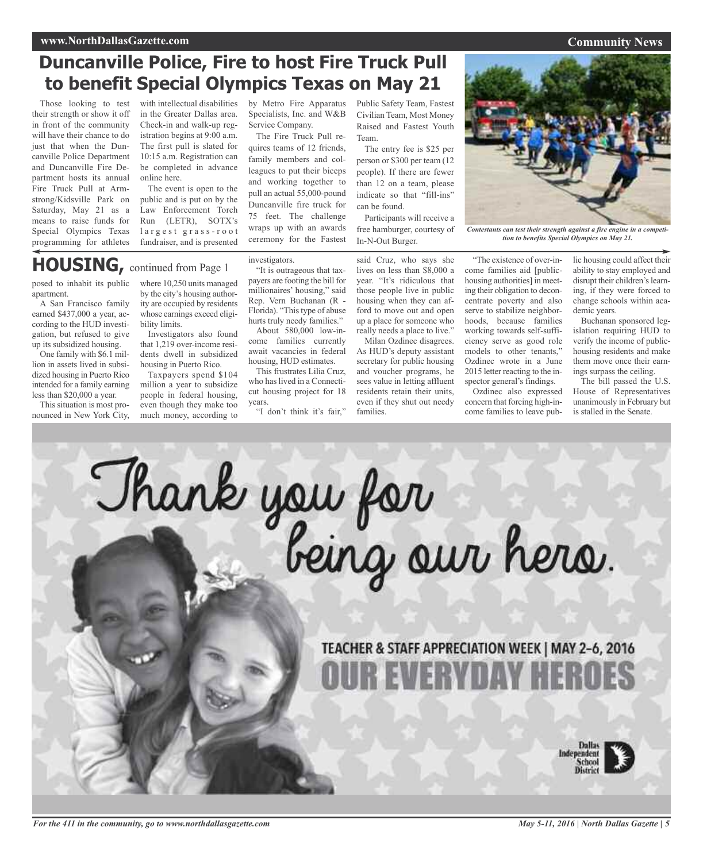### **Duncanville Police, Fire to host Fire Truck Pull to benefit Special Olympics Texas on May 21**

Those looking to test their strength or show it off in front of the community will have their chance to do just that when the Duncanville Police Department and Duncanville Fire Department hosts its annual Fire Truck Pull at Armstrong/Kidsville Park on Saturday, May 21 as a means to raise funds for Special Olympics Texas programming for athletes

with intellectual disabilities in the Greater Dallas area. Check-in and walk-up registration begins at 9:00 a.m. The first pull is slated for 10:15 a.m. Registration can be completed in advance online here.

The event is open to the public and is put on by the Law Enforcement Torch Run (LETR), SOTX's largest grass-root fundraiser, and is presented

by Metro Fire Apparatus Specialists, Inc. and W&B Service Company.

The Fire Truck Pull requires teams of 12 friends, family members and colleagues to put their biceps and working together to pull an actual 55,000-pound Duncanville fire truck for 75 feet. The challenge wraps up with an awards ceremony for the Fastest

Public Safety Team, Fastest Civilian Team, Most Money Raised and Fastest Youth Team.

The entry fee is \$25 per person or \$300 per team (12 people). If there are fewer than 12 on a team, please indicate so that "fill-ins" can be found.

Participants will receive a free hamburger, courtesy of In-N-Out Burger.

said Cruz, who says she "The existence of over-income families aid [publichousing authorities] in meeting their obligation to deconcentrate poverty and also serve to stabilize neighborhoods, because families working towards self-sufficiency serve as good role models to other tenants," Ozdinec wrote in a June

> spector general's findings. Ozdinec also expressed concern that forcing high-income families to leave pub-

> 2015 letter reacting to the in-

lic housing could affect their ability to stay employed and disrupt their children's learning, if they were forced to change schools within academic years.

Buchanan sponsored legislation requiring HUD to verify the income of publichousing residents and make them move once their earnings surpass the ceiling.

The bill passed the U.S. House of Representatives unanimously in February but is stalled in the Senate.

**HOUSING,** continued from Page <sup>1</sup>

posed to inhabit its public apartment.

A San Francisco family earned \$437,000 a year, according to the HUD investigation, but refused to give up its subsidized housing.

One family with \$6.1 million in assets lived in subsidized housing in Puerto Rico intended for a family earning less than \$20,000 a year.

This situation is most pronounced in New York City, where 10,250 units managed by the city's housing authority are occupied by residents whose earnings exceed eligibility limits.

Investigators also found that 1,219 over-income residents dwell in subsidized housing in Puerto Rico.

Taxpayers spend \$104 million a year to subsidize people in federal housing, even though they make too much money, according to

"It is outrageous that taxpayers are footing the bill for millionaires' housing," said Rep. Vern Buchanan (R - Florida). "This type of abuse hurts truly needy families."

investigators.

About 580,000 low-income families currently await vacancies in federal housing, HUD estimates. This frustrates Lilia Cruz,

who has lived in a Connecticut housing project for 18 years.

"I don't think it's fair,"

lives on less than \$8,000 a year. "It's ridiculous that those people live in public housing when they can afford to move out and open up a place for someone who really needs a place to live." Milan Ozdinec disagrees.

As HUD's deputy assistant secretary for public housing and voucher programs, he sees value in letting affluent residents retain their units, even if they shut out needy families.

*Contestants can test their strength against a fire engine in a competition to benefits Special Olympics on May 21.*



*May 5-11, 2016 | North Dallas Gazette | 5*

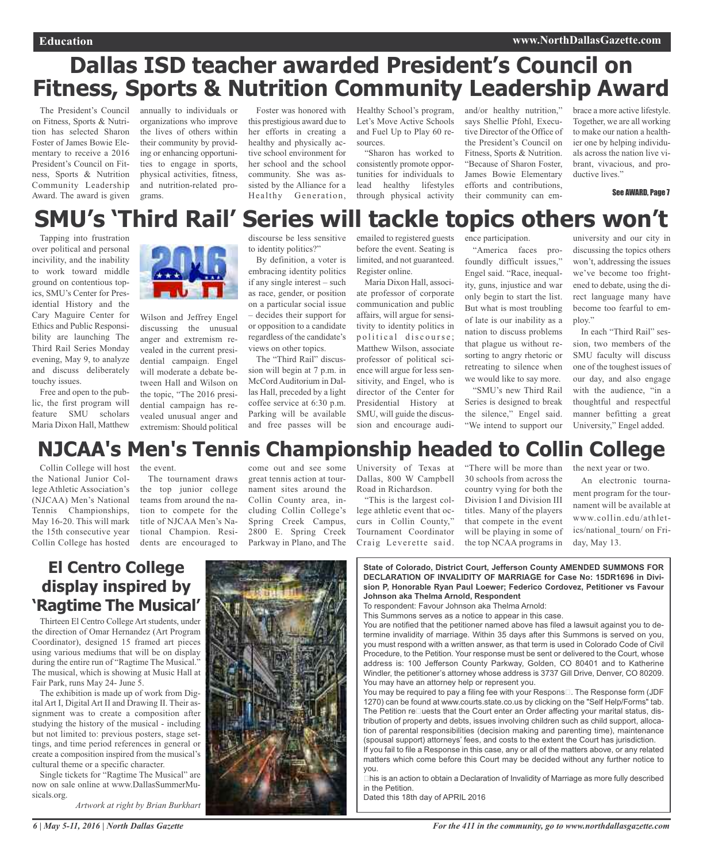# **Dallas ISD teacher awarded President's Council on Fitness, Sports & Nutrition Community Leadership Award**

The President's Council on Fitness, Sports & Nutrition has selected Sharon Foster of James Bowie Elementary to receive a 2016 President's Council on Fitness, Sports & Nutrition Community Leadership Award. The award is given

annually to individuals or organizations who improve the lives of others within their community by providing or enhancing opportunities to engage in sports, physical activities, fitness, and nutrition-related programs.

this prestigious award due to her efforts in creating a healthy and physically active school environment for her school and the school community. She was assisted by the Alliance for a Healthy Generation,

Foster was honored with Healthy School's program, Let's Move Active Schools and Fuel Up to Play 60 resources.

> "Sharon has worked to consistently promote opportunities for individuals to lead healthy lifestyles through physical activity

and/or healthy nutrition," says Shellie Pfohl, Executive Director of the Office of the President's Council on Fitness, Sports & Nutrition. "Because of Sharon Foster, James Bowie Elementary efforts and contributions, their community can embrace a more active lifestyle. Together, we are all working to make our nation a healthier one by helping individuals across the nation live vibrant, vivacious, and productive lives."

See AWARD, Page 7

# **SMU's 'Third Rail' Series will tackle topics others won't**

Tapping into frustration over political and personal incivility, and the inability to work toward middle ground on contentious topics, SMU's Center for Presidential History and the Cary Maguire Center for Ethics and Public Responsibility are launching The Third Rail Series Monday evening, May 9, to analyze and discuss deliberately touchy issues.

Free and open to the public, the first program will feature SMU scholars Maria Dixon Hall, Matthew



Wilson and Jeffrey Engel discussing the unusual anger and extremism revealed in the current presidential campaign. Engel will moderate a debate between Hall and Wilson on the topic, "The 2016 presidential campaign has revealed unusual anger and extremism: Should political discourse be less sensitive to identity politics?"

By definition, a voter is embracing identity politics if any single interest – such as race, gender, or position on a particular social issue – decides their support for or opposition to a candidate regardless of the candidate's views on other topics.

The "Third Rail" discussion will begin at 7 p.m. in McCord Auditorium in Dallas Hall, preceded by a light coffee service at 6:30 p.m. Parking will be available and free passes will be

emailed to registered guests before the event. Seating is limited, and not guaranteed. Register online.

Maria Dixon Hall, associate professor of corporate communication and public affairs, will argue for sensitivity to identity politics in political discourse: Matthew Wilson, associate professor of political science will argue for less sensitivity, and Engel, who is director of the Center for Presidential History at SMU, will guide the discussion and encourage audience participation. "America faces profoundly difficult issues," Engel said. "Race, inequality, guns, injustice and war only begin to start the list. But what is most troubling of late is our inability as a nation to discuss problems that plague us without resorting to angry rhetoric or retreating to silence when we would like to say more.

"SMU's new Third Rail Series is designed to break the silence," Engel said. "We intend to support our

university and our city in discussing the topics others won't, addressing the issues we've become too frightened to debate, using the direct language many have become too fearful to employ."

In each "Third Rail" session, two members of the SMU faculty will discuss one of the toughest issues of our day, and also engage with the audience, "in a thoughtful and respectful manner befitting a great University," Engel added.

## **NJCAA's Men's Tennis Championship headed to Collin College**

Collin College will host the National Junior College Athletic Association's (NJCAA) Men's National Tennis Championships, May 16-20. This will mark the 15th consecutive year Collin College has hosted

the event. The tournament draws the top junior college teams from around the nation to compete for the title of NJCAA Men's National Champion. Resi-

dents are encouraged to

come out and see some great tennis action at tournament sites around the Collin County area, including Collin College's Spring Creek Campus, 2800 E. Spring Creek Parkway in Plano, and The

University of Texas at Dallas, 800 W Campbell Road in Richardson.

"This is the largest college athletic event that occurs in Collin County," Tournament Coordinator Craig Leverette said.

"There will be more than 30 schools from across the country vying for both the Division I and Division III titles. Many of the players that compete in the event will be playing in some of the top NCAA programs in

the next year or two.

An electronic tournament program for the tournament will be available at www.collin.edu/athletics/national\_tourn/ on Friday, May 13.

### **El Centro College display inspired by 'Ragtime The Musical'**

Thirteen El Centro College Art students, under the direction of Omar Hernandez (Art Program Coordinator), designed 15 framed art pieces using various mediums that will be on display during the entire run of "Ragtime The Musical." The musical, which is showing at Music Hall at Fair Park, runs May 24- June 5.

The exhibition is made up of work from Digital Art I, Digital Art II and Drawing II. Their assignment was to create a composition after studying the history of the musical - including but not limited to: previous posters, stage settings, and time period references in general or create a composition inspired from the musical's cultural theme or a specific character.

Single tickets for "Ragtime The Musical" are now on sale online at www.DallasSummerMusicals.org.

*Artwork at right by Brian Burkhart*



- **State of Colorado, District Court, Jefferson County AMENDED SUMMONS FOR DECLARATION OF INVALIDITY OF MARRIAGE for Case No: 15DR1696 in Division P, Honorable Ryan Paul Loewer; Federico Cordovez, Petitioner vs Favour Johnson aka Thelma Arnold, Respondent**
- To respondent: Favour Johnson aka Thelma Arnold:
- This Summons serves as a notice to appear in this case.

You are notified that the petitioner named above has filed a lawsuit against you to determine invalidity of marriage. Within 35 days after this Summons is served on you, you must respond with a written answer, as that term is used in Colorado Code of Civil Procedure, to the Petition. Your response must be sent or delivered to the Court, whose address is: 100 Jefferson County Parkway, Golden, CO 80401 and to Katherine Windler, the petitioner's attorney whose address is 3737 Gill Drive, Denver, CO 80209. You may have an attorney help or represent you.

You may be required to pay a filing fee with your Respons $\square$ . The Response form (JDF 1270) can be found at www.courts.state.co.us by clicking on the "Self Help/Forms" tab. The Petition reDuests that the Court enter an Order affecting your marital status, distribution of property and debts, issues involving children such as child support, allocation of parental responsibilities (decision making and parenting time), maintenance (spousal support) attorneys' fees, and costs to the extent the Court has jurisdiction.

If you fail to file a Response in this case, any or all of the matters above, or any related matters which come before this Court may be decided without any further notice to you.

his is an action to obtain a Declaration of Invalidity of Marriage as more fully described in the Petition.

Dated this 18th day of APRIL 2016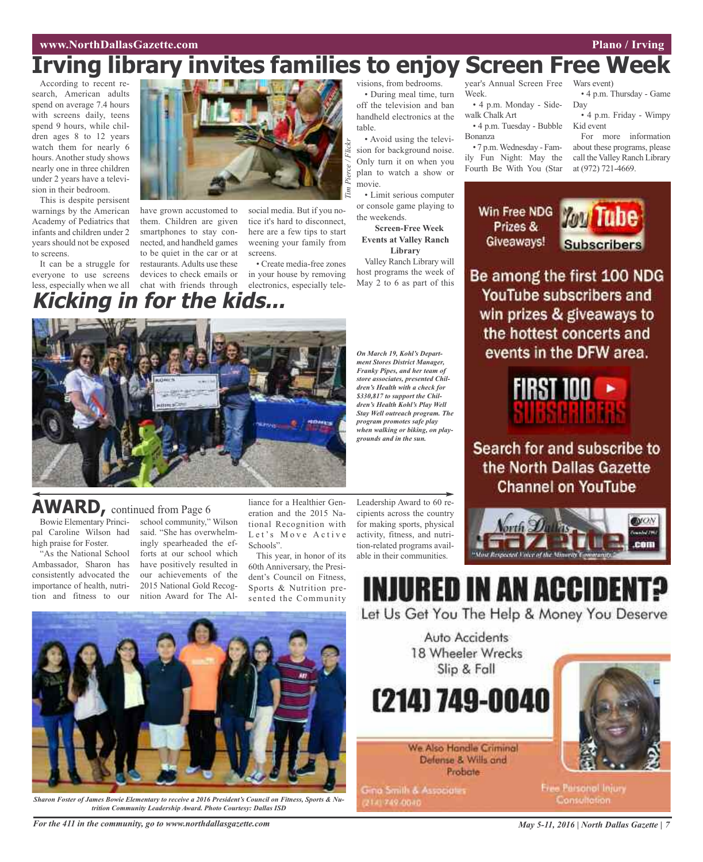### **www.NorthDallasGazette.com Plano** / **Irving**

### Wars event) **Irving library invites families to enjoy Screen Free Week**

*Tim*

*Pierce / Flickr*

According to recent research, American adults spend on average 7.4 hours with screens daily, teens spend 9 hours, while children ages 8 to 12 years watch them for nearly 6 hours. Another study shows nearly one in three children under 2 years have a television in their bedroom.

This is despite persisent warnings by the American Academy of Pediatrics that infants and children under 2 years should not be exposed to screens.

It can be a struggle for everyone to use screens less, especially when we all

Bowie Elementary Principal Caroline Wilson had high praise for Foster.

**AWARD,** continued from Page <sup>6</sup>

"As the National School Ambassador, Sharon has consistently advocated the importance of health, nutrition and fitness to our



have grown accustomed to them. Children are given smartphones to stay connected, and handheld games to be quiet in the car or at restaurants. Adults use these devices to check emails or chat with friends through **Kicking in for the kids...**

social media. But if you notice it's hard to disconnect, here are a few tips to start weening your family from screens.

• Create media-free zones in your house by removing electronics, especially televisions, from bedrooms. • During meal time, turn off the television and ban handheld electronics at the

table. • Avoid using the television for background noise. Only turn it on when you plan to watch a show or movie.

• Limit serious computer or console game playing to the weekends.

**Screen-Free Week Events at Valley Ranch Library**

Valley Ranch Library will host programs the week of May 2 to 6 as part of this

*On March 19, Kohl's Department Stores District Manager, Franky Pipes, and her team of store associates, presented Children's Health with a check for \$330,817 to support the Children's Health Kohl's Play Well Stay Well outreach program. The program promotes safe play when walking or biking, on playgrounds and in the sun.*

year's Annual Screen Free Week.

• 4 p.m. Monday - Sidewalk Chalk Art • 4 p.m. Tuesday - Bubble

Bonanza • 7 p.m.Wednesday - Family Fun Night: May the

Fourth Be With You (Star

Kid event For more information

Day

Prizes & Giveaways!

about these programs, please call the Valley Ranch Library at (972) 721-4669.



Be among the first 100 NDG YouTube subscribers and win prizes & giveaways to the hottest concerts and events in the DFW area.



Search for and subscribe to the North Dallas Gazette **Channel on YouTube** 



# **INJURED IN AN ACCIDE**

Auto Accidents

Slip & Fall

Defense & Wills and Probate

Let Us Get You The Help & Money You Deserve



school community," Wilson said. "She has overwhelmingly spearheaded the efforts at our school which have positively resulted in our achievements of the 2015 National Gold Recognition Award for The Al-

*Sharon Foster of James Bowie Elementary to receive a 2016 President's Council on Fitness, Sports & Nutrition Community Leadership Award. Photo Courtesy: Dallas ISD*

liance for a Healthier Generation and the 2015 National Recognition with Let's Move Active Schools". This year, in honor of its 60th Anniversary, the Presi-

dent's Council on Fitness, Sports & Nutrition presented the Community Leadership Award to 60 recipients across the country for making sports, physical activity, fitness, and nutrition-related programs available in their communities.



**Free Parsonol Injury** Consultation.

For the 411 in the community, go to www.northdallasgazette.com May 5-11, 2016 | North Dallas Gazette | 7

• 4 p.m. Thursday - Game

• 4 p.m. Friday - Wimpy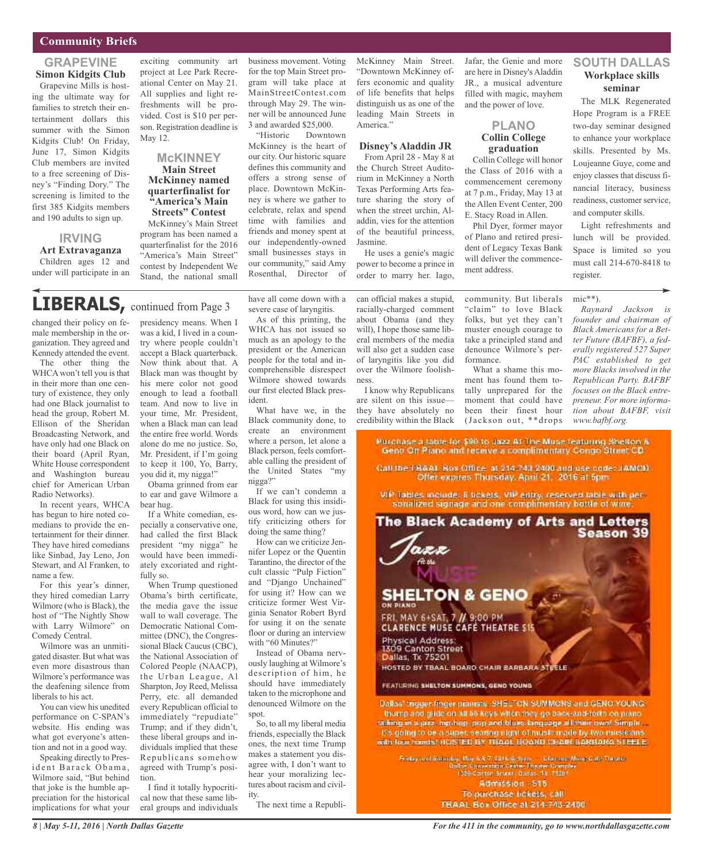### **Community Briefs**

### **GRAPEVINE Simon Kidgits Club**

Grapevine Mills is hosting the ultimate way for families to stretch their entertainment dollars this summer with the Simon Kidgits Club! On Friday, June 17, Simon Kidgits Club members are invited to a free screening of Disney's "Finding Dory." The screening is limited to the first 385 Kidgits members and 190 adults to sign up.

### **IRVING**

#### **Art Extravaganza** Children ages 12 and

under will participate in an

exciting community art project at Lee Park Recreational Center on May 21. All supplies and light refreshments will be provided. Cost is \$10 per person. Registration deadline is May 12.

#### **McKINNEY Main Street McKinney named quarterfinalist for "America's Main Streets" Contest**

McKinney's Main Street program has been named a quarterfinalist for the 2016 "America's Main Street" contest by Independent We Stand, the national small

business movement. Voting for the top Main Street program will take place at MainStreetContest.com through May 29. The winner will be announced June 3 and awarded \$25,000.

"Historic Downtown McKinney is the heart of our city. Our historic square defines this community and offers a strong sense of place. Downtown McKinney is where we gather to celebrate, relax and spend time with families and friends and money spent at our independently-owned small businesses stays in our community," said Amy Rosenthal, Director of McKinney Main Street. "Downtown McKinney offers economic and quality of life benefits that helps distinguish us as one of the leading Main Streets in America."

### **Disney's Aladdin JR**

From April 28 - May 8 at the Church Street Auditorium in McKinney a North Texas Performing Arts feature sharing the story of when the street urchin, Aladdin, vies for the attention of the beautiful princess, Jasmine.

He uses a genie's magic power to become a prince in order to marry her. Iago, Jafar, the Genie and more are here in Disney's Aladdin JR., a musical adventure filled with magic, mayhem and the power of love.

### **PLANO Collin College graduation**

Collin College will honor the Class of 2016 with a commencement ceremony at 7 p.m., Friday, May 13 at the Allen Event Center, 200 E. Stacy Road in Allen.

Phil Dyer, former mayor of Plano and retired president of Legacy Texas Bank will deliver the commencement address.

### **SOUTH DALLAS Workplace skills seminar**

The MLK Regenerated Hope Program is a FREE two-day seminar designed to enhance your workplace skills. Presented by Ms. Loujeanne Guye, come and enjoy classes that discuss financial literacy, business readiness, customer service, and computer skills.

Light refreshments and lunch will be provided. Space is limited so you must call 214-670-8418 to register.

#### mic\*\*).

*Raynard Jackson is founder and chairman of Black Americans for a Better Future (BAFBF), a federally registered 527 Super PAC established to get more Blacks involved in the Republican Party. BAFBF focuses on the Black entrepreneur. For more information about BAFBF, visit www.bafbf.org.*

### **LIBERALS,** continued from Page <sup>3</sup>

changed their policy on female membership in the organization. They agreed and Kennedy attended the event.

The other thing the WHCA won't tell you is that in their more than one century of existence, they only had one Black journalist to head the group, Robert M. Ellison of the Sheridan Broadcasting Network, and have only had one Black on their board (April Ryan, White House correspondent and Washington bureau chief for American Urban Radio Networks).

In recent years, WHCA has begun to hire noted comedians to provide the entertainment for their dinner. They have hired comedians like Sinbad, Jay Leno, Jon Stewart, and Al Franken, to name a few.

For this year's dinner, they hired comedian Larry Wilmore (who is Black), the host of "The Nightly Show with Larry Wilmore" on Comedy Central.

Wilmore was an unmitigated disaster. But what was even more disastrous than Wilmore's performance was the deafening silence from liberals to his act.

You can view his unedited performance on C-SPAN's website. His ending was what got everyone's attention and not in a good way.

Speaking directly to President Barack Obama, Wilmore said, "But behind that joke is the humble appreciation for the historical implications for what your

presidency means. When I was a kid, I lived in a country where people couldn't accept a Black quarterback. Now think about that. A Black man was thought by his mere color not good enough to lead a football team. And now to live in your time, Mr. President, when a Black man can lead the entire free world. Words alone do me no justice. So, Mr. President, if I'm going to keep it 100, Yo, Barry, you did it, my nigga!"

Obama grinned from ear to ear and gave Wilmore a bear hug.

If a White comedian, especially a conservative one, had called the first Black president "my nigga" he would have been immediately excoriated and rightfully so.

When Trump questioned Obama's birth certificate, the media gave the issue wall to wall coverage. The Democratic National Committee (DNC), the Congressional Black Caucus (CBC), the National Association of Colored People (NAACP), the Urban League, Al Sharpton, Joy Reed, Melissa Perry, etc. all demanded every Republican official to immediately "repudiate" Trump; and if they didn't, these liberal groups and individuals implied that these Republicans somehow agreed with Trump's position.

I find it totally hypocritical now that these same liberal groups and individuals have all come down with a severe case of laryngitis.

As of this printing, the WHCA has not issued so much as an apology to the president or the American people for the total and incomprehensible disrespect Wilmore showed towards our first elected Black president.

What have we, in the Black community done, to create an environment where a person, let alone a Black person, feels comfortable calling the president of the United States "my nigga?"

If we can't condemn a Black for using this insidious word, how can we justify criticizing others for doing the same thing?

How can we criticize Jennifer Lopez or the Quentin Tarantino, the director of the cult classic "Pulp Fiction" and "Django Unchained" for using it? How can we criticize former West Virginia Senator Robert Byrd for using it on the senate floor or during an interview with "60 Minutes?"

Instead of Obama nervously laughing at Wilmore's description of him, he should have immediately taken to the microphone and denounced Wilmore on the spot.

So, to all my liberal media friends, especially the Black ones, the next time Trump makes a statement you disagree with, I don't want to hear your moralizing lectures about racism and civility.

The next time a Republi-

can official makes a stupid, racially-charged comment about Obama (and they will), I hope those same liberal members of the media will also get a sudden case of laryngitis like you did over the Wilmore foolishness.

I know why Republicans are silent on this issue they have absolutely no credibility within the Black

community. But liberals "claim" to love Black folks, but yet they can't muster enough courage to take a principled stand and denounce Wilmore's performance.

What a shame this moment has found them totally unprepared for the moment that could have been their finest hour (Jackson out, \*\*drops

Kurchase a table for \$90 to Jazz At The Muse featuring Shelton & Geno On Piano and receive a complimentary Congo Street CD

Call the FBAAL Box Office: at 214-743-2400 and use code: JAMOD. Offer expires Thursday, April 21, 2016 at 5pm

VIP lables include. 5 tickets, VIP entry, reserved table with personalized signage and one complimentary bottle of wine.

# The Black Academy of Arts and Letters **Season 39 SHELTON & GENO** FRI, MAY 6+SAT, 7 // 9:00 PM<br>CLARENCE MUSE CAFE THEATRE \$15 Physical Address:<br>1309 Canton Street Dallas, Tx 75201

HOSTED BY TBAAL BOARD CHAIR BARBARA STEELE

FEATURING SHELTON SUMMONS, GEND YOUNG

Dalkas' trigger finger planness SHELFON SUMMONS and GENO YOUNG. thump and glide on all \$5 keys when they go back-and-forth on plane. raiking in a jazz, hip hop, pop and blues beguage all their own! Simple It's going to be a super, searing right of music made by two music ans. with four hands! HOSTED BY TBAAL BOARD CHAIR BARBARA STEELE.

Friday and Saturday, Maris & 7, 2016 (6 Sprin → Education Moon Gall) Theatra<br>| Dollas Cansenban Centre Theatre Complex<br>| 1029 Cortain Scient Contas, 17, 79201 Admission - S15 To purchase tickets, call TEAAL Box Office at 214-743-2400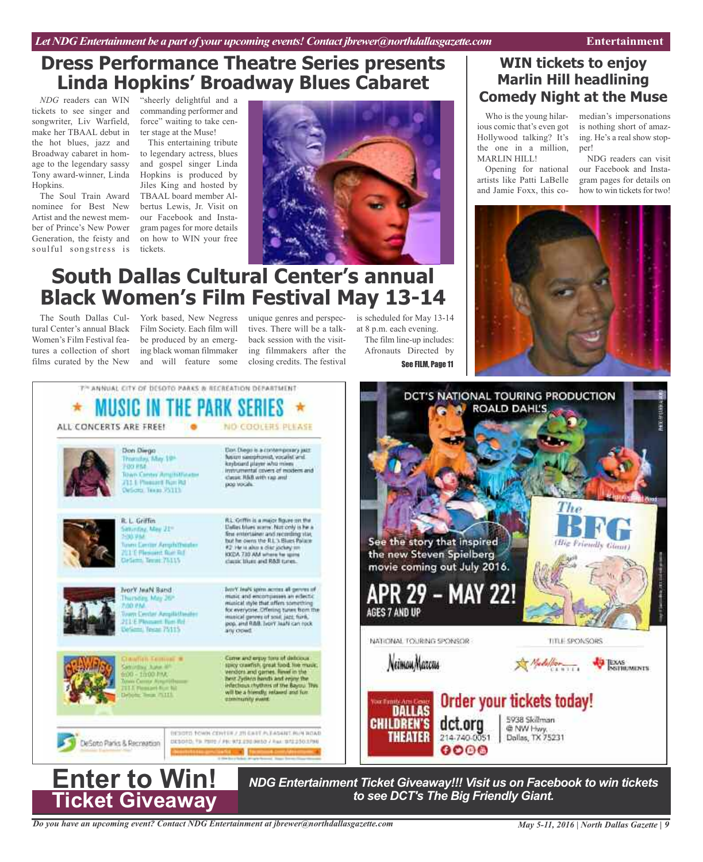### **Dress Performance Theatre Series presents Linda Hopkins' Broadway Blues Cabaret**

*NDG* readers can WIN tickets to see singer and songwriter, Liv Warfield, make her TBAAL debut in the hot blues, jazz and Broadway cabaret in homage to the legendary sassy Tony award-winner, Linda Hopkins.

The Soul Train Award nominee for Best New Artist and the newest member of Prince's New Power Generation, the feisty and soulful songstress is "sheerly delightful and a commanding performer and force" waiting to take center stage at the Muse!

This entertaining tribute to legendary actress, blues and gospel singer Linda Hopkins is produced by Jiles King and hosted by TBAAL board member Albertus Lewis, Jr. Visit on our Facebook and Instagram pages for more details on how to WIN your free tickets.



### **South Dallas Cultural Center's annual Black Women's Film Festival May 13-14**

tural Center's annual Black Women's Film Festival features a collection of short films curated by the New

The South Dallas Cul-York based, New Negress Film Society. Each film will be produced by an emerging black woman filmmaker and will feature some

tives. There will be a talkback session with the visiting filmmakers after the closing credits. The festival

unique genres and perspec-is scheduled for May 13-14 at 8 p.m. each evening. The film line-up includes: Afronauts Directed by See FILM, Page 11

### **WIN tickets to enjoy Marlin Hill headlining Comedy Night at the Muse**

Who is the young hilarious comic that's even got Hollywood talking? It's the one in a million, MARLIN HILL!

Opening for national artists like Patti LaBelle and Jamie Foxx, this comedian's impersonations is nothing short of amazing. He's a real show stopper!

NDG readers can visit our Facebook and Instagram pages for details on how to win tickets for two!







**Ticket Giveaway**

*Do you have an upcoming event? Contact NDG Entertainment at jbrewer@northdallasgazette.com*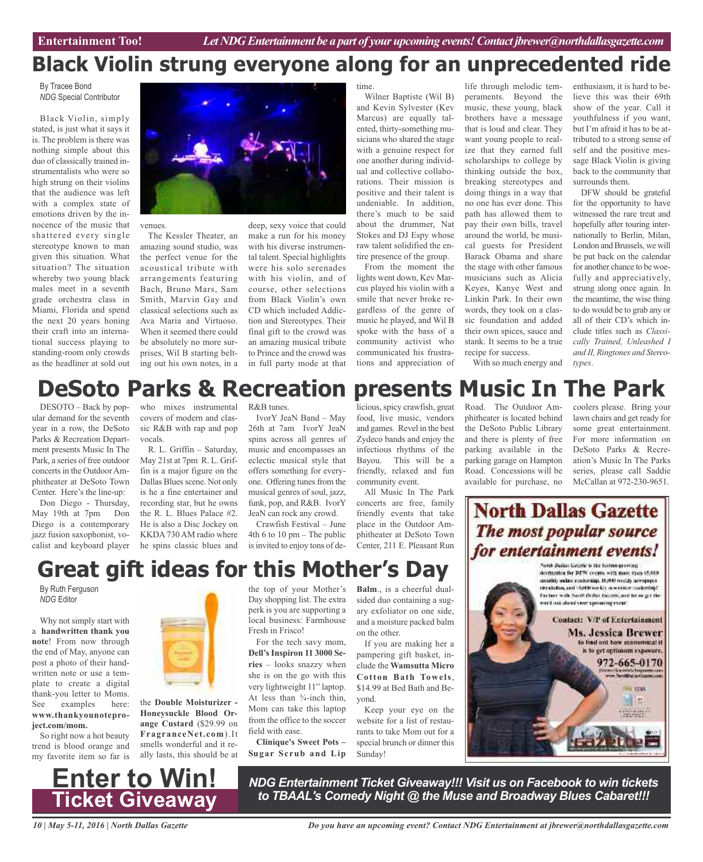# **Black Violin strung everyone along for an unprecedented ride**

By Tracee Bond *NDG* Special Contributor

Black Violin, simply stated, is just what it says it is. The problem is there was nothing simple about this duo of classically trained instrumentalists who were so high strung on their violins that the audience was left with a complex state of emotions driven by the innocence of the music that shattered every single stereotype known to man given this situation. What situation? The situation whereby two young black males meet in a seventh grade orchestra class in Miami, Florida and spend the next 20 years honing their craft into an international success playing to standing-room only crowds as the headliner at sold out



venues.

The Kessler Theater, an amazing sound studio, was the perfect venue for the acoustical tribute with arrangements featuring Bach, Bruno Mars, Sam Smith, Marvin Gay and classical selections such as Ava Maria and Virtuoso. When it seemed there could be absolutely no more surprises, Wil B starting belting out his own notes, in a

deep, sexy voice that could make a run for his money with his diverse instrumental talent. Special highlights were his solo serenades with his violin, and of course, other selections from Black Violin's own CD which included Addiction and Stereotypes. Their final gift to the crowd was an amazing musical tribute to Prince and the crowd was in full party mode at that

time.

Wilner Baptiste (Wil B) and Kevin Sylvester (Kev Marcus) are equally talented, thirty-something musicians who shared the stage with a genuine respect for one another during individual and collective collaborations. Their mission is positive and their talent is undeniable. In addition, there's much to be said about the drummer, Nat Stokes and DJ Espy whose raw talent solidified the entire presence of the group.

From the moment the lights went down, Kev Marcus played his violin with a smile that never broke regardless of the genre of music he played, and Wil B spoke with the bass of a community activist who communicated his frustrations and appreciation of

life through melodic temperaments. Beyond the music, these young, black brothers have a message that is loud and clear. They want young people to realize that they earned full scholarships to college by thinking outside the box, breaking stereotypes and doing things in a way that no one has ever done. This path has allowed them to pay their own bills, travel around the world, be musical guests for President Barack Obama and share the stage with other famous musicians such as Alicia Keyes, Kanye West and Linkin Park. In their own words, they took on a classic foundation and added their own spices, sauce and stank. It seems to be a true recipe for success.

enthusiasm, it is hard to believe this was their 69th show of the year. Call it youthfulness if you want, but I'm afraid it has to be attributed to a strong sense of self and the positive message Black Violin is giving back to the community that surrounds them.

DFW should be grateful for the opportunity to have witnessed the rare treat and hopefully after touring internationally to Berlin, Milan, London and Brussels, we will be put back on the calendar for another chance to be woefully and appreciatively, strung along once again. In the meantime, the wise thing to do would be to grab any or all of their CD's which include titles such as *Classically Trained, Unleashed I and II, Ringtones and Stereotypes*.

### With so much energy and

# **DeSoto Parks & Recreation presents Music In The Park**

DESOTO – Back by popular demand for the seventh year in a row, the DeSoto Parks & Recreation Department presents Music In The Park, a series of free outdoor concerts in the Outdoor Amphitheater at DeSoto Town Center. Here's the line-up:

Don Diego - Thursday, May 19th at 7pm Don Diego is a contemporary jazz fusion saxophonist, vocalist and keyboard player

who mixes instrumental covers of modern and classic R&B with rap and pop vocals.

R. L. Griffin – Saturday, May 21st at 7pm R. L. Griffin is a major figure on the Dallas Blues scene. Not only is he a fine entertainer and recording star, but he owns the R. L. Blues Palace #2. He is also a Disc Jockey on KKDA 730 AM radio where he spins classic blues and R&B tunes.

IvorY JeaN Band – May 26th at 7am IvorY JeaN spins across all genres of music and encompasses an eclectic musical style that offers something for everyone. Offering tunes from the musical genres of soul, jazz, funk, pop, and R&B. IvorY JeaN can rock any crowd.

Crawfish Festival – June 4th 6 to 10 pm – The public is invited to enjoy tons of de-

licious, spicy crawfish, great food, live music, vendors and games. Revel in the best Zydeco bands and enjoy the infectious rhythms of the Bayou. This will be a friendly, relaxed and fun community event.

All Music In The Park concerts are free, family friendly events that take place in the Outdoor Amphitheater at DeSoto Town Center, 211 E. Pleasant Run Road. The Outdoor Amphitheater is located behind the DeSoto Public Library and there is plenty of free parking available in the parking garage on Hampton Road. Concessions will be available for purchase, no

coolers please. Bring your lawn chairs and get ready for some great entertainment. For more information on DeSoto Parks & Recreation's Music In The Parks series, please call Saddie McCallan at 972-230-9651.

### **North Dallas Gazette** The most popular source for entertainment events!



# **Great gift ideas for this Mother's Day**

By Ruth Ferguson *NDG* Editor

Why not simply start with a **handwritten thank you note**! From now through the end of May, anyone can post a photo of their handwritten note or use a template to create a digital thank-you letter to Moms. See examples here: **www.thankyounoteproject.com/mom.**

So right now a hot beauty trend is blood orange and my favorite item so far is



the **Double Moisturizer - Honeysuckle Blood Orange Custard** (\$29.99 on **FragranceNet.com**).It smells wonderful and it really lasts, this should be at the top of your Mother's Day shopping list. The extra perk is you are supporting a local business: Farmhouse Fresh in Frisco!

For the tech savy mom, **Dell's Inspiron 11 3000 Series** – looks snazzy when she is on the go with this very lightweight 11" laptop. At less than  $\frac{3}{4}$ -inch thin, Mom can take this laptop from the office to the soccer field with ease.

**Clinique's Sweet Pots – Sugar Scrub and Lip**

**Balm**., is a cheerful dualsided duo containing a sugary exfoliator on one side, and a moisture packed balm on the other.

If you are making her a pampering gift basket, include the **Wamsutta Micro Cotton Bath Towels**, \$14.99 at Bed Bath and Beyond.

Keep your eye on the website for a list of restaurants to take Mom out for a special brunch or dinner this Sunday!



*NDG Entertainment Ticket Giveaway!!! Visit us on Facebook to win tickets to TBAAL's Comedy Night @ the Muse and Broadway Blues Cabaret!!!*

*10 | May 5-11, 2016 | North Dallas Gazette*

*Do you have an upcoming event? Contact NDG Entertainment at jbrewer@northdallasgazette.com*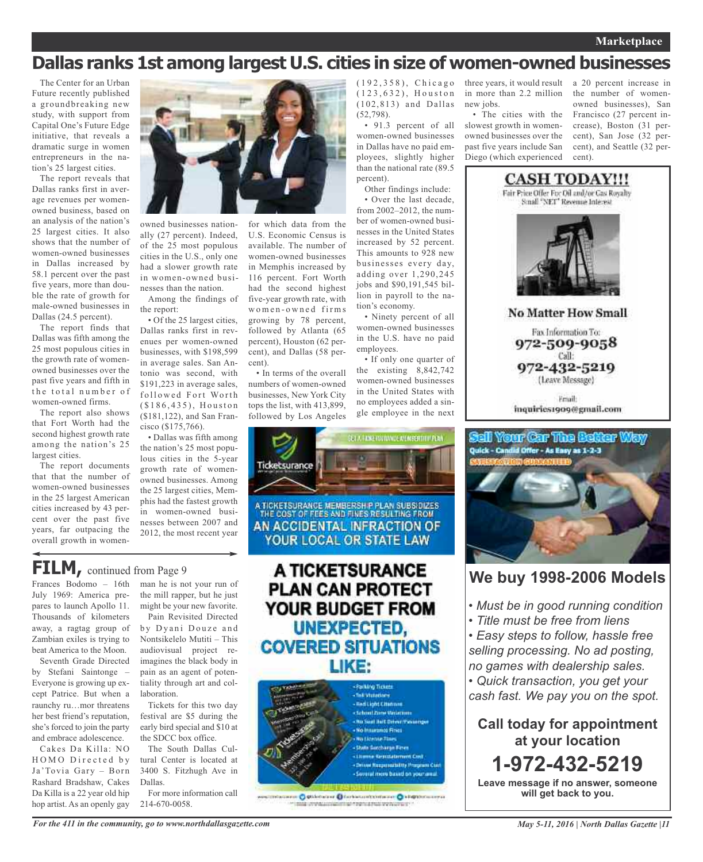### **Marketplace**

### **Dallas ranks 1st among largest U.S. cities in size of women-owned businesses**

(52,798).

percent).

tion's economy.

employees.

• Ninety percent of all women-owned businesses in the U.S. have no paid

• If only one quarter of the existing 8,842,742 women-owned businesses in the United States with no employees added a single employee in the next

• 91.3 percent of all women-owned businesses in Dallas have no paid employees, slightly higher than the national rate (89.5

Other findings include: • Over the last decade, from 2002–2012, the number of women-owned businesses in the United States increased by 52 percent. This amounts to 928 new businesses every day, adding over 1,290,245 jobs and \$90,191,545 billion in payroll to the na-

The Center for an Urban Future recently published a groundbreaking new study, with support from Capital One's Future Edge initiative, that reveals a dramatic surge in women entrepreneurs in the nation's 25 largest cities.

The report reveals that Dallas ranks first in average revenues per womenowned business, based on an analysis of the nation's 25 largest cities. It also shows that the number of women-owned businesses in Dallas increased by 58.1 percent over the past five years, more than double the rate of growth for male-owned businesses in Dallas (24.5 percent).

The report finds that Dallas was fifth among the 25 most populous cities in the growth rate of womenowned businesses over the past five years and fifth in the total number of women-owned firms.

The report also shows that Fort Worth had the second highest growth rate among the nation's 25 largest cities.

The report documents that that the number of women-owned businesses in the 25 largest American cities increased by 43 percent over the past five years, far outpacing the overall growth in women-



owned businesses nationally (27 percent). Indeed, of the 25 most populous cities in the U.S., only one had a slower growth rate in women-owned businesses than the nation.

Among the findings of the report:

• Of the 25 largest cities, Dallas ranks first in revenues per women-owned businesses, with \$198,599 in average sales. San Antonio was second, with \$191,223 in average sales, followed Fort Worth  $( $186, 435)$ , Houston (\$181,122), and San Francisco (\$175,766).

• Dallas was fifth among the nation's 25 most populous cities in the 5-year growth rate of womenowned businesses. Among the 25 largest cities, Memphis had the fastest growth in women-owned businesses between 2007 and 2012, the most recent year

for which data from the U.S. Economic Census is available. The number of women-owned businesses in Memphis increased by 116 percent. Fort Worth had the second highest five-year growth rate, with w o m e n - o w n e d fir m s growing by 78 percent, followed by Atlanta (65 percent), Houston (62 percent), and Dallas (58 percent).

> • In terms of the overall numbers of women-owned businesses, New York City tops the list, with 413,899, followed by Los Angeles



### **FILM**, continued from Page 9

Frances Bodomo – 16th July 1969: America prepares to launch Apollo 11. Thousands of kilometers away, a ragtag group of Zambian exiles is trying to beat America to the Moon.

Seventh Grade Directed by Stefani Saintonge – Everyone is growing up except Patrice. But when a raunchy ru…mor threatens her best friend's reputation, she's forced to join the party and embrace adolescence.

Cakes Da Killa: NO HOMO Directed by Ja'Tovia Gary – Born Rashard Bradshaw, Cakes Da Killa is a 22 year old hip hop artist. As an openly gay

man he is not your run of the mill rapper, but he just might be your new favorite.

Pain Revisited Directed by Dyani Douze and Nontsikelelo Mutiti – This audiovisual project reimagines the black body in pain as an agent of potentiality through art and collaboration.

Tickets for this two day festival are \$5 during the early bird special and \$10 at the SDCC box office.

The South Dallas Cultural Center is located at 3400 S. Fitzhugh Ave in Dallas. For more information call

214-670-0058.

### A TICKETSURANCE **PLAN CAN PROTECT** YOUR BUDGET FROM **UNEXPECTED, COVERED SITUATIONS** LIKE:



**Systematical Logic Program & Production Composition** 

( 1 9 2 , 3 5 8 ) , C h i c a g o  $(1 2 3, 6 3 2),$  Houston (102,813) and Dallas three years, it would result in more than 2.2 million new jobs.

• The cities with the slowest growth in womenowned businesses over the past five years include San Diego (which experienced a 20 percent increase in the number of womenowned businesses), San Francisco (27 percent increase), Boston (31 percent), San Jose (32 percent), and Seattle (32 percent).



Friail: inquiries1909@gmail.com



### **We buy 1998-2006 Models**

- *• Must be in good running condition*
- *• Title must be free from liens*

*• Easy steps to follow, hassle free selling processing. No ad posting, no games with dealership sales. • Quick transaction, you get your*

*cash fast. We pay you on the spot.*

**Call today for appointment at your location 1-972-432-5219**

**Leave message if no answer, someone will get back to you.**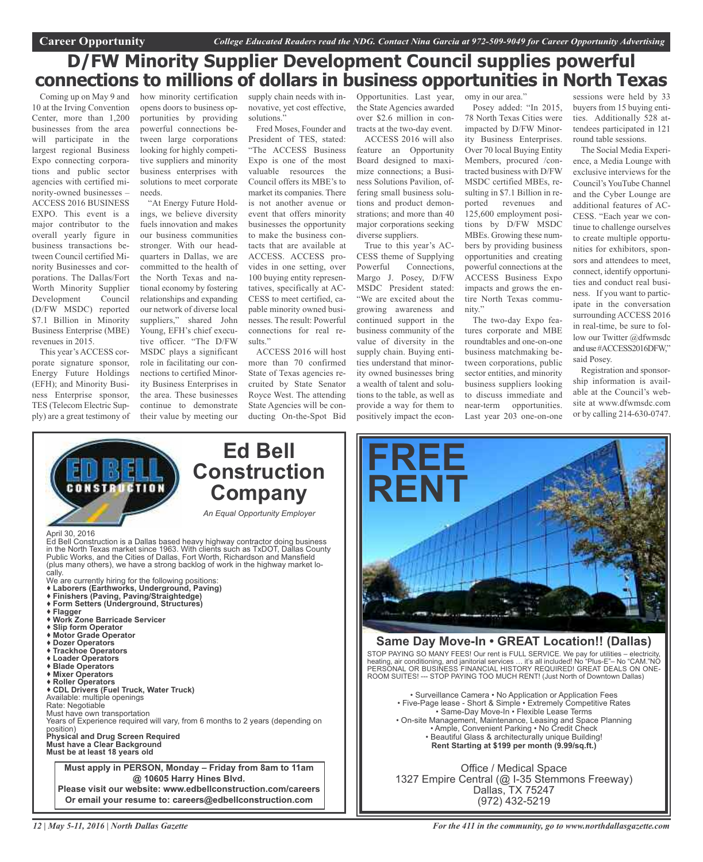### **D/FW Minority Supplier Development Council supplies powerful connections to millions of dollars in business opportunities in North Texas**

Coming up on May 9 and 10 at the Irving Convention Center, more than 1,200 businesses from the area will participate in the largest regional Business Expo connecting corporations and public sector agencies with certified minority-owned businesses – ACCESS 2016 BUSINESS EXPO. This event is a major contributor to the overall yearly figure in business transactions between Council certified Minority Businesses and corporations. The Dallas/Fort Worth Minority Supplier Development Council (D/FW MSDC) reported \$7.1 Billion in Minority Business Enterprise (MBE) revenues in 2015.

This year's ACCESS corporate signature sponsor, Energy Future Holdings (EFH); and Minority Business Enterprise sponsor, TES (Telecom Electric Supply) are a great testimony of

how minority certification supply chain needs with in- Opportunities. Last year, omy in our area." opens doors to business opportunities by providing powerful connections between large corporations looking for highly competitive suppliers and minority business enterprises with solutions to meet corporate needs.

"At Energy Future Holdings, we believe diversity fuels innovation and makes our business communities stronger. With our headquarters in Dallas, we are committed to the health of the North Texas and national economy by fostering relationships and expanding our network of diverse local suppliers," shared John Young, EFH's chief executive officer. "The D/FW MSDC plays a significant role in facilitating our connections to certified Minority Business Enterprises in the area. These businesses continue to demonstrate their value by meeting our

novative, yet cost effective, solutions."

Fred Moses, Founder and President of TES, stated: "The ACCESS Business Expo is one of the most valuable resources the Council offers its MBE's to market its companies. There is not another avenue or event that offers minority businesses the opportunity to make the business contacts that are available at ACCESS. ACCESS provides in one setting, over 100 buying entity representatives, specifically at AC-CESS to meet certified, capable minority owned businesses. The result: Powerful connections for real results."

ACCESS 2016 will host more than 70 confirmed State of Texas agencies recruited by State Senator Royce West. The attending State Agencies will be conducting On-the-Spot Bid

the State Agencies awarded over \$2.6 million in contracts at the two-day event.

ACCESS 2016 will also feature an Opportunity Board designed to maximize connections; a Business Solutions Pavilion, offering small business solutions and product demonstrations; and more than 40 major corporations seeking diverse suppliers.

True to this year's AC-CESS theme of Supplying Powerful Connections, Margo J. Posey, D/FW MSDC President stated: "We are excited about the growing awareness and continued support in the business community of the value of diversity in the supply chain. Buying entities understand that minority owned businesses bring a wealth of talent and solutions to the table, as well as provide a way for them to positively impact the econ-

Posey added: "In 2015, 78 North Texas Cities were impacted by D/FW Minority Business Enterprises. Over 70 local Buying Entity Members, procured /contracted business with D/FW MSDC certified MBEs, resulting in \$7.1 Billion in reported revenues and 125,600 employment positions by D/FW MSDC MBEs. Growing these numbers by providing business opportunities and creating powerful connections at the ACCESS Business Expo impacts and grows the entire North Texas community."

The two-day Expo features corporate and MBE roundtables and one-on-one business matchmaking between corporations, public sector entities, and minority business suppliers looking to discuss immediate and near-term opportunities. Last year 203 one-on-one

sessions were held by 33 buyers from 15 buying entities. Additionally 528 attendees participated in 121 round table sessions.

The Social Media Experience, a Media Lounge with exclusive interviews for the Council's YouTube Channel and the Cyber Lounge are additional features of AC-CESS. "Each year we continue to challenge ourselves to create multiple opportunities for exhibitors, sponsors and attendees to meet, connect, identify opportunities and conduct real business. If you want to participate in the conversation surrounding ACCESS 2016 in real-time, be sure to follow our Twitter @dfwmsdc anduse#ACCESS2016DFW," said Posey.

Registration and sponsorship information is available at the Council's website at www.dfwmsdc.com or by calling 214-630-0747.





### **Same Day Move-In • GREAT Location!! (Dallas)** STOP PAYING SO MANY FEES! Our rent is FULL SERVICE. We pay for utilities – electricity,

heating, air conditioning, and janitorial services … it's all included! No "Plus-E"– No "CAM."NO PERSONAL OR BUSINESS FINANCIAL HISTORY REQUIRED! GREAT DEALS ON ONE-ROOM SUITES! --- STOP PAYING TOO MUCH RENT! (Just North of Downtown Dallas)

• Surveillance Camera • No Application or Application Fees • Five-Page lease - Short & Simple • Extremely Competitive Rates • Same-Day Move-In • Flexible Lease Terms • On-site Management, Maintenance, Leasing and Space Planning • Ample, Convenient Parking • No Credit Check • Beautiful Glass & architecturally unique Building! **Rent Starting at \$199 per month (9.99/sq.ft.)**

Office / Medical Space 1327 Empire Central (@ I-35 Stemmons Freeway) Dallas, TX 75247 (972) 432-5219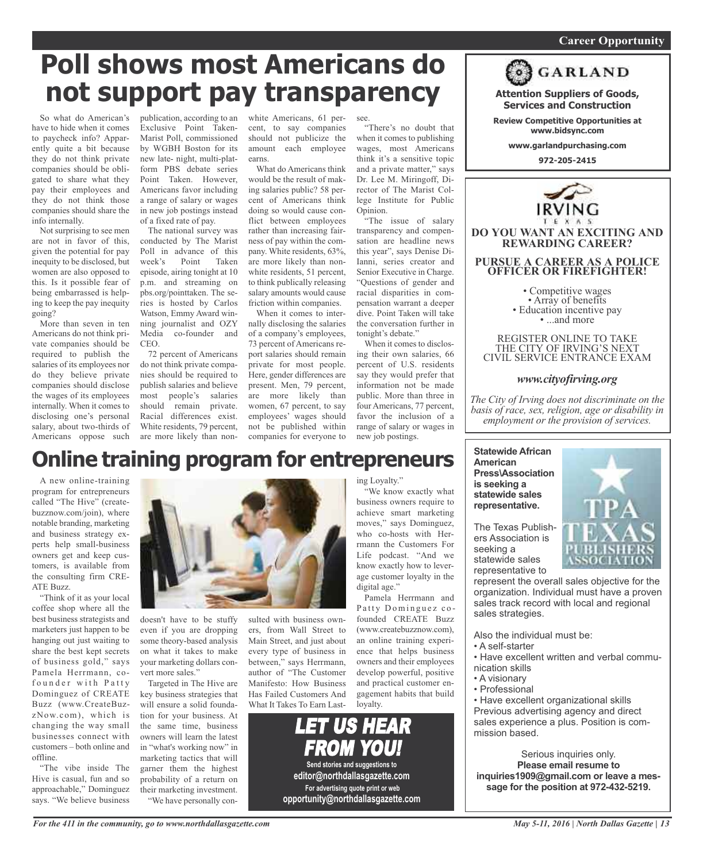### *On a quest for qualified candidates? Contact Nina Garcia at 972-509-9049* **Career Opportunity**

**Attention Suppliers of Goods, Services and Construction Review Competitive Opportunities at www.bidsync.com www.garlandpurchasing.com 972-205-2415**

**GARLAND** 

**DO YOU WANT AN EXCITING AND REWARDING CAREER?**

**PURSUE A CAREER AS A POLICE OFFICER OR FIREFIGHTER!**

• Competitive wages<br>• Array of benefits<br>• Education incentive pay<br>• ...and more

REGISTER ONLINE TO TAKE THE CITY OF IRVING'S NEXT CIVIL SERVICE ENTRANCE EXAM

*www.cityofirving.org*

*The City of Irving does not discriminate on the basis of race, sex, religion, age or disability in employment or the provision of services.*

# **Poll shows most Americans do not support pay transparency**

So what do American's have to hide when it comes to paycheck info? Apparently quite a bit because they do not think private companies should be obligated to share what they pay their employees and they do not think those companies should share the info internally.

Not surprising to see men are not in favor of this, given the potential for pay inequity to be disclosed, but women are also opposed to this. Is it possible fear of being embarrassed is helping to keep the pay inequity going?

More than seven in ten Americans do not think private companies should be required to publish the salaries of its employees nor do they believe private companies should disclose the wages of its employees internally. When it comes to disclosing one's personal salary, about two-thirds of Americans oppose such

publication, according to an white Americans, 61 per-Exclusive Point Taken-Marist Poll, commissioned by WGBH Boston for its new late- night, multi-platform PBS debate series Point Taken. However, Americans favor including a range of salary or wages in new job postings instead of a fixed rate of pay.

The national survey was conducted by The Marist Poll in advance of this week's Point Taken episode, airing tonight at 10 p.m. and streaming on pbs.org/pointtaken. The series is hosted by Carlos Watson, Emmy Award winning journalist and OZY Media co-founder and CEO.

72 percent of Americans do not think private companies should be required to publish salaries and believe most people's salaries should remain private. Racial differences exist. White residents, 79 percent, are more likely than non-

cent, to say companies should not publicize the amount each employee earns.

What do Americans think would be the result of making salaries public? 58 percent of Americans think doing so would cause conflict between employees rather than increasing fairness of pay within the company. White residents, 63%, are more likely than nonwhite residents, 51 percent, to think publically releasing salary amounts would cause friction within companies.

When it comes to internally disclosing the salaries of a company's employees, 73 percent of Americans report salaries should remain private for most people. Here, gender differences are present. Men, 79 percent, are more likely than women, 67 percent, to say employees' wages should not be published within companies for everyone to

see.

"There's no doubt that when it comes to publishing wages, most Americans think it's a sensitive topic and a private matter," says Dr. Lee M. Miringoff, Director of The Marist College Institute for Public Opinion.

"The issue of salary transparency and compensation are headline news this year", says Denise Di-Ianni, series creator and Senior Executive in Charge. "Questions of gender and racial disparities in compensation warrant a deeper dive. Point Taken will take the conversation further in tonight's debate."

When it comes to disclosing their own salaries, 66 percent of U.S. residents say they would prefer that information not be made public. More than three in four Americans, 77 percent, favor the inclusion of a range of salary or wages in new job postings.

# **Online training program for entrepreneurs**

A new online-training program for entrepreneurs called "The Hive" (createbuzznow.com/join), where notable branding, marketing and business strategy experts help small-business owners get and keep customers, is available from the consulting firm CRE-ATE Buzz.

"Think of it as your local coffee shop where all the best business strategists and marketers just happen to be hanging out just waiting to share the best kept secrets of business gold," says Pamela Herrmann, cofounder with Patty Dominguez of CREATE Buzz (www.CreateBuzzNow.com), which is changing the way small businesses connect with customers – both online and offline.

"The vibe inside The Hive is casual, fun and so approachable," Dominguez says. "We believe business



doesn't have to be stuffy even if you are dropping some theory-based analysis on what it takes to make your marketing dollars convert more sales."

Targeted in The Hive are key business strategies that will ensure a solid foundation for your business. At the same time, business owners will learn the latest in "what's working now" in marketing tactics that will garner them the highest probability of a return on their marketing investment. "We have personally con-

sulted with business owners, from Wall Street to Main Street, and just about every type of business in between," says Herrmann, author of "The Customer Manifesto: How Business Has Failed Customers And What It Takes To Earn Last-



ing Loyalty."

"We know exactly what business owners require to achieve smart marketing moves," says Dominguez, who co-hosts with Herrmann the Customers For Life podcast. "And we know exactly how to leverage customer loyalty in the digital age."

Pamela Herrmann and Patty Dominguez cofounded CREATE Buzz (www.createbuzznow.com), an online training experience that helps business owners and their employees develop powerful, positive and practical customer engagement habits that build loyalty.



### **Press\Association is seeking a statewide sales representative.** The Texas Publish-

**American**

ers Association is seeking a statewide sales representative to

**Statewide African**

represent the overall sales objective for the organization. Individual must have a proven sales track record with local and regional sales strategies.

Also the individual must be:

- A self-starter
- Have excellent written and verbal communication skills
- A visionary
- Professional

• Have excellent organizational skills Previous advertising agency and direct sales experience a plus. Position is commission based.

Serious inquiries only. **Please email resume to inquiries1909@gmail.com or leave a message for the position at 972-432-5219.**

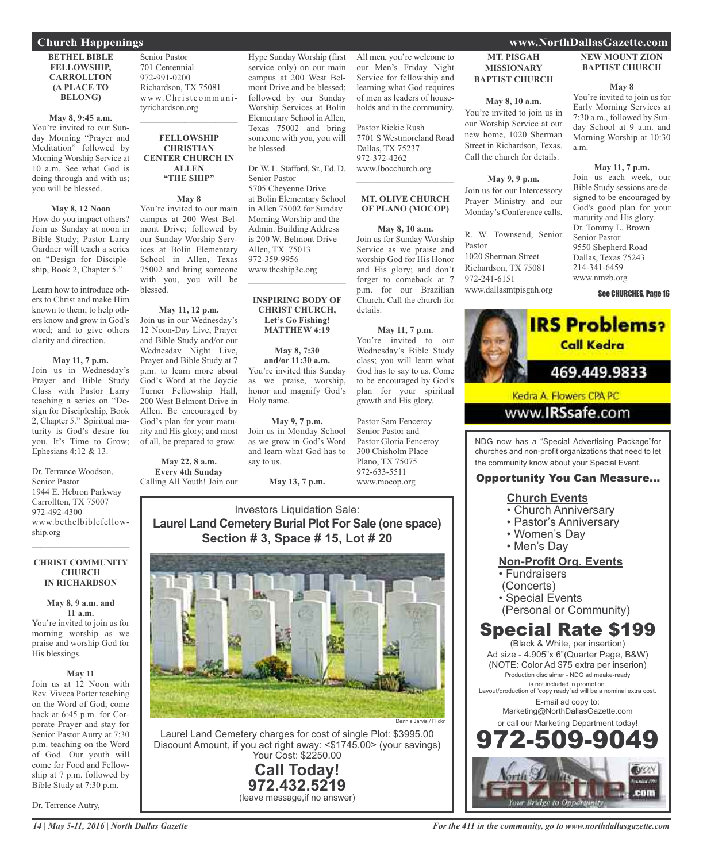### **Church Happenings www.NorthDallasGazette.com**

#### **BETHEL BIBLE FELLOWSHIP, CARROLLTON (A PLACE TO BELONG)**

**May 8, 9:45 a.m.** You're invited to our Sunday Morning "Prayer and Meditation" followed by Morning Worship Service at 10 a.m. See what God is doing through and with us; you will be blessed.

#### **May 8, 12 Noon**

How do you impact others? Join us Sunday at noon in Bible Study; Pastor Larry Gardner will teach a series on "Design for Discipleship, Book 2, Chapter 5."

Learn how to introduce others to Christ and make Him known to them; to help others know and grow in God's word; and to give others clarity and direction.

#### **May 11, 7 p.m.**

Join us in Wednesday's Prayer and Bible Study Class with Pastor Larry teaching a series on "Design for Discipleship, Book 2, Chapter 5." Spiritual maturity is God's desire for you. It's Time to Grow; Ephesians 4:12 & 13.

Dr. Terrance Woodson, Senior Pastor 1944 E. Hebron Parkway Carrollton, TX 75007 972-492-4300 www.bethelbiblefellowship.org

#### **CHRIST COMMUNITY CHURCH IN RICHARDSON**

 $\mathcal{L}$  , and the set of the set of the set of the set of the set of the set of the set of the set of the set of the set of the set of the set of the set of the set of the set of the set of the set of the set of the set

#### **May 8, 9 a.m. and 11 a.m.**

You're invited to join us for morning worship as we praise and worship God for His blessings.

#### **May 11**

Join us at 12 Noon with Rev. Viveca Potter teaching on the Word of God; come back at 6:45 p.m. for Corporate Prayer and stay for Senior Pastor Autry at 7:30 p.m. teaching on the Word of God. Our youth will come for Food and Fellowship at 7 p.m. followed by Bible Study at 7:30 p.m.

Dr. Terrence Autry,

Senior Pastor 701 Centennial 972-991-0200 Richardson, TX 75081 www.Christcommunityrichardson.org  $\mathcal{L}_\text{max}$  and  $\mathcal{L}_\text{max}$  and  $\mathcal{L}_\text{max}$ 

#### **FELLOWSHIP CHRISTIAN CENTER CHURCH IN ALLEN "THE SHIP"**

### **May 8**

You're invited to our main campus at 200 West Belmont Drive; followed by our Sunday Worship Services at Bolin Elementary School in Allen, Texas 75002 and bring someone with you, you will be blessed.

**May 11, 12 p.m.** Join us in our Wednesday's 12 Noon-Day Live, Prayer and Bible Study and/or our Wednesday Night Live, Prayer and Bible Study at 7 p.m. to learn more about God's Word at the Joycie Turner Fellowship Hall, 200 West Belmont Drive in Allen. Be encouraged by God's plan for your maturity and His glory; and most of all, be prepared to grow.

### **May 22, 8 a.m. Every 4th Sunday**

Calling All Youth! Join our

Hype Sunday Worship (first service only) on our main campus at 200 West Belmont Drive and be blessed; followed by our Sunday Worship Services at Bolin Elementary School in Allen, Texas 75002 and bring someone with you, you will be blessed.

Dr. W. L. Stafford, Sr., Ed. D. Senior Pastor

5705 Cheyenne Drive at Bolin Elementary School in Allen 75002 for Sunday Morning Worship and the Admin. Building Address is 200 W. Belmont Drive Allen, TX 75013 972-359-9956 www.theship3c.org  $\overline{\phantom{a}}$  , and the set of the set of the set of the set of the set of the set of the set of the set of the set of the set of the set of the set of the set of the set of the set of the set of the set of the set of the s

#### **INSPIRING BODY OF CHRIST CHURCH, Let's Go Fishing! MATTHEW 4:19**

**May 8, 7:30 and/or 11:30 a.m.** You're invited this Sunday as we praise, worship, honor and magnify God's Holy name.

**May 9, 7 p.m.** Join us in Monday School as we grow in God's Word and learn what God has to say to us.

**May 13, 7 p.m.**

All men, you're welcome to our Men's Friday Night Service for fellowship and learning what God requires of men as leaders of households and in the community.

Pastor Rickie Rush 7701 S Westmoreland Road Dallas, TX 75237 972-372-4262 www.Ibocchurch.org

### **MT. OLIVE CHURCH OF PLANO (MOCOP)**

 $\mathcal{L}$  , and the set of the set of the set of the set of the set of the set of the set of the set of the set of the set of the set of the set of the set of the set of the set of the set of the set of the set of the set

#### **May 8, 10 a.m.**

Join us for Sunday Worship Service as we praise and worship God for His Honor and His glory; and don't forget to comeback at 7 p.m. for our Brazilian Church. Call the church for details.

#### **May 11, 7 p.m.**

You're invited to our Wednesday's Bible Study class; you will learn what God has to say to us. Come to be encouraged by God's plan for your spiritual growth and His glory.

Pastor Sam Fenceroy Senior Pastor and Pastor Gloria Fenceroy 300 Chisholm Place Plano, TX 75075 972-633-5511 www.mocop.org

### Investors Liquidation Sale: **Laurel Land Cemetery Burial Plot For Sale (one space) Section # 3, Space # 15, Lot # 20**



Laurel Land Cemetery charges for cost of single Plot: \$3995.00 Discount Amount, if you act right away: <\$1745.00> (your savings) Your Cost: \$2250.00

> **Call Today! 972.432.5219** (leave message,if no answer)

### **MT. PISGAH MISSIONARY BAPTIST CHURCH**

### **May 8, 10 a.m.**

You're invited to join us in our Worship Service at our new home, 1020 Sherman Street in Richardson, Texas. Call the church for details.

**May 9, 9 p.m.** Join us for our Intercessory Prayer Ministry and our Monday's Conference calls.

R. W. Townsend, Senior Pastor 1020 Sherman Street Richardson, TX 75081 972-241-6151 www.dallasmtpisgah.org

### **NEW MOUNT ZION BAPTIST CHURCH**

### **May 8**

You're invited to join us for Early Morning Services at 7:30 a.m., followed by Sunday School at 9 a.m. and Morning Worship at 10:30 a.m.

**May 11, 7 p.m.** Join us each week, our Bible Study sessions are designed to be encouraged by God's good plan for your maturity and His glory. Dr. Tommy L. Brown Senior Pastor 9550 Shepherd Road Dallas, Texas 75243 214-341-6459 www.nmzb.org

See CHURCHES, Page 16



Kedra A. Flowers CPA PC

### www.**IRSsafe**.com

NDG now has a "Special Advertising Package"for churches and non-profit organizations that need to let the community know about your Special Event.

### Opportunity You Can Measure...

### **Church Events**

- Church Anniversary
- Pastor's Anniversary
- Women's Day
- Men's Day

### **Non-Profit Org. Events**

- Fundraisers
- (Concerts)
- Special Events
- (Personal or Community)

### Special Rate \$199

(Black & White, per insertion) Ad size - 4.905"x 6"(Quarter Page, B&W) (NOTE: Color Ad \$75 extra per inserion) Production disclaimer - NDG ad meake-ready is not included in promotion. Layout/production of "copy ready"ad will be a nominal extra cost. E-mail ad copy to: Marketing@NorthDallasGazette.com or call our Marketing Department today! 972-509-9049

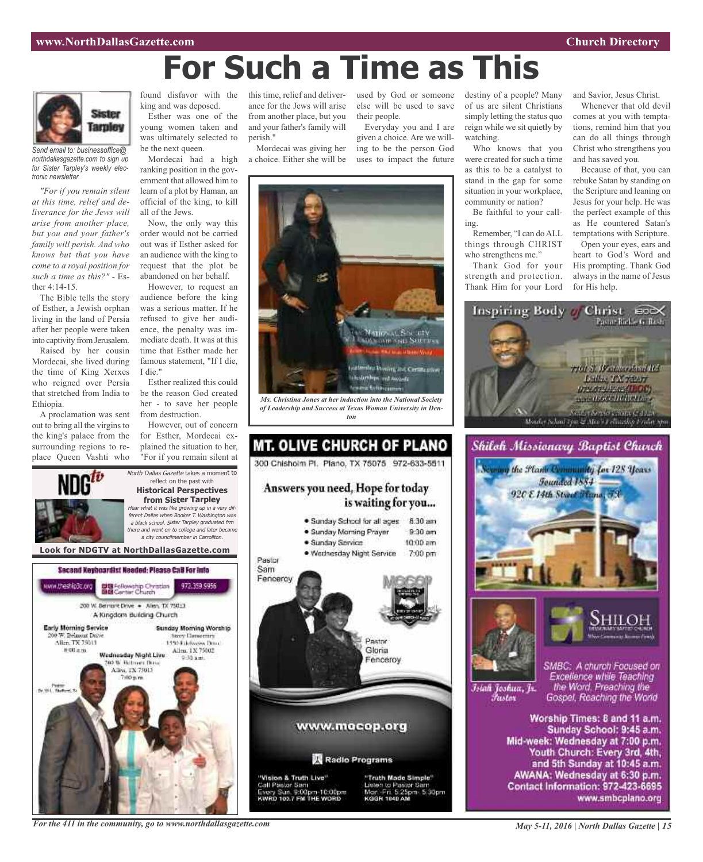



*Send email to: businessoffice@ northdallasgazette.com to sign up for Sister Tarpley's weekly electronic newsletter.*

*"For if you remain silent at this time, relief and deliverance for the Jews will arise from another place, but you and your father's family will perish. And who knows but that you have come to a royal position for such a time as this?"* - Esther 4:14-15.

The Bible tells the story of Esther, a Jewish orphan living in the land of Persia after her people were taken into captivity from Jerusalem.

Raised by her cousin Mordecai, she lived during the time of King Xerxes who reigned over Persia that stretched from India to Ethiopia.

A proclamation was sent out to bring all the virgins to the king's palace from the surrounding regions to replace Queen Vashti who

ww.theship3c.org

Early Morning Service

Alice TX 75013

# 00 a.m.

0 W. Belmunt Drive

found disfavor with the king and was deposed.

Esther was one of the young women taken and was ultimately selected to be the next queen.

Mordecai had a high ranking position in the government that allowed him to learn of a plot by Haman, an official of the king, to kill all of the Jews.

Now, the only way this order would not be carried out was if Esther asked for an audience with the king to request that the plot be abandoned on her behalf.

However, to request an audience before the king was a serious matter. If he refused to give her audience, the penalty was immediate death. It was at this time that Esther made her famous statement, "If I die, I die."

Esther realized this could be the reason God created her - to save her people from destruction.

However, out of concern for Esther, Mordecai explained the situation to her, "For if you remain silent at

972.359.9956

Sunday Morning Worship

**Nory Demectors** 

1450 Ethnologies Drug-

Allen, 1X 75002

North Dallas Gazette takes a moment to reflect on the past with **Historical Perspectives from Sister Tarpley** Hear what it was like growing up in <sup>a</sup> very different Dallas when Booker T. Washington was <sup>a</sup> black school. Sister Tarpley graduated frm there and went on to college and later became <sup>a</sup> city councilmember in Carrollton.

**Look for NDGTV at NorthDallasGazette.com**

Second Keyboardist Needed: Please CaB For Info

DE Fellowship Christian<br>BIB Center Church

200 W. Bernsht Drive . - Allen, TX 75013 A Kingdom Building Church

Wadnesday Night Live

**DO W. Retroem Days** 

Allen, TX 75013

this time, relief and deliverance for the Jews will arise from another place, but you and your father's family will perish."

Mordecai was giving her a choice. Either she will be

used by God or someone destiny of a people? Many else will be used to save their people. Everyday you and I are

given a choice. Are we willing to be the person God uses to impact the future



*Ms. Christina Jones at her induction into the National Society of Leadership and Success at Texas Woman University in Denton*



of us are silent Christians simply letting the status quo reign while we sit quietly by watching.

Who knows that you were created for such a time as this to be a catalyst to stand in the gap for some situation in your workplace, community or nation?

Be faithful to your calling.

Remember, "I can doALL things through CHRIST who strengthens me."

Thank God for your strength and protection. Thank Him for your Lord and Savior, Jesus Christ.

Whenever that old devil comes at you with temptations, remind him that you can do all things through Christ who strengthens you and has saved you.

Because of that, you can rebuke Satan by standing on the Scripture and leaning on Jesus for your help. He was the perfect example of this as He countered Satan's temptations with Scripture.

Open your eyes, ears and heart to God's Word and His prompting. Thank God always in the name of Jesus for His help.



Shiloh Missionary Baptist Church the Flame Community for 128 Years





Īsiah Joshua, Jr. Fustor

SMBC: A church Focused on Excellence while Teaching the Word. Preaching the Gospel, Reaching the World

Worship Times: 8 and 11 a.m. Sunday School: 9:45 a.m. Mid-week: Wednesday at 7:00 p.m. Youth Church: Every 3rd, 4th, and 5th Sunday at 10:45 a.m. AWANA: Wednesday at 6:30 p.m. Contact Information: 972-423-6695 www.smbcplano.org

*For the 411 in the community, go to www.northdallasgazette.com*